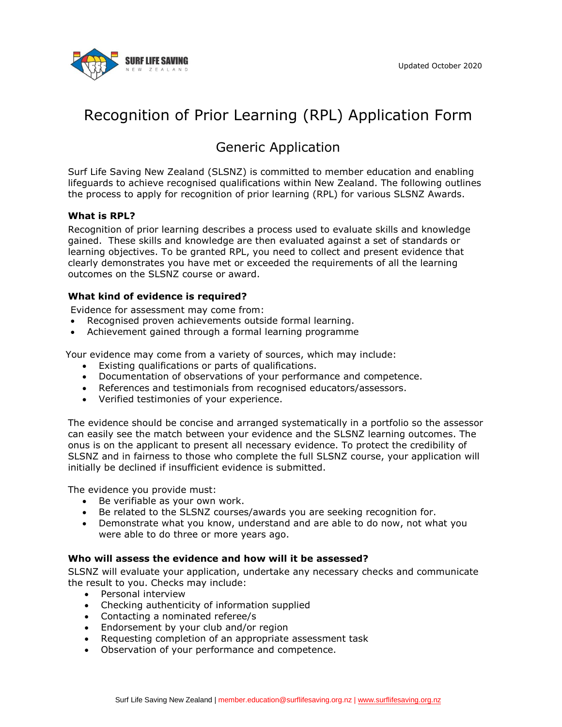

# Recognition of Prior Learning (RPL) Application Form

# Generic Application

Surf Life Saving New Zealand (SLSNZ) is committed to member education and enabling lifeguards to achieve recognised qualifications within New Zealand. The following outlines the process to apply for recognition of prior learning (RPL) for various SLSNZ Awards.

### **What is RPL?**

Recognition of prior learning describes a process used to evaluate skills and knowledge gained. These skills and knowledge are then evaluated against a set of standards or learning objectives. To be granted RPL, you need to collect and present evidence that clearly demonstrates you have met or exceeded the requirements of all the learning outcomes on the SLSNZ course or award.

### **What kind of evidence is required?**

Evidence for assessment may come from:

- Recognised proven achievements outside formal learning.
- Achievement gained through a formal learning programme

Your evidence may come from a variety of sources, which may include:

- Existing qualifications or parts of qualifications.
- Documentation of observations of your performance and competence.
- References and testimonials from recognised educators/assessors.
- Verified testimonies of your experience.

The evidence should be concise and arranged systematically in a portfolio so the assessor can easily see the match between your evidence and the SLSNZ learning outcomes. The onus is on the applicant to present all necessary evidence. To protect the credibility of SLSNZ and in fairness to those who complete the full SLSNZ course, your application will initially be declined if insufficient evidence is submitted.

The evidence you provide must:

- Be verifiable as your own work.
- Be related to the SLSNZ courses/awards you are seeking recognition for.
- Demonstrate what you know, understand and are able to do now, not what you were able to do three or more years ago.

#### **Who will assess the evidence and how will it be assessed?**

SLSNZ will evaluate your application, undertake any necessary checks and communicate the result to you. Checks may include:

- Personal interview
- Checking authenticity of information supplied
- Contacting a nominated referee/s
- Endorsement by your club and/or region
- Requesting completion of an appropriate assessment task
- Observation of your performance and competence.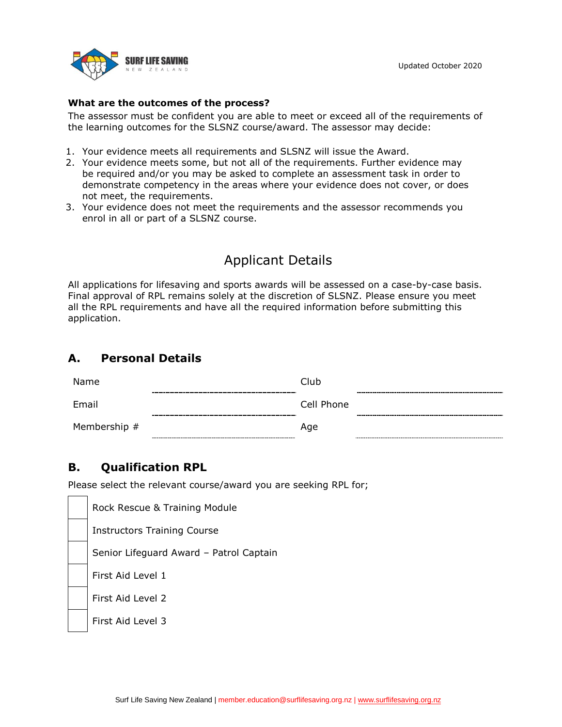

### **What are the outcomes of the process?**

The assessor must be confident you are able to meet or exceed all of the requirements of the learning outcomes for the SLSNZ course/award. The assessor may decide:

- 1. Your evidence meets all requirements and SLSNZ will issue the Award.
- 2. Your evidence meets some, but not all of the requirements. Further evidence may be required and/or you may be asked to complete an assessment task in order to demonstrate competency in the areas where your evidence does not cover, or does not meet, the requirements.
- 3. Your evidence does not meet the requirements and the assessor recommends you enrol in all or part of a SLSNZ course.

# Applicant Details

All applications for lifesaving and sports awards will be assessed on a case-by-case basis. Final approval of RPL remains solely at the discretion of SLSNZ. Please ensure you meet all the RPL requirements and have all the required information before submitting this application.

### **A. Personal Details**

| Name         |       | Club       |                                        |
|--------------|-------|------------|----------------------------------------|
|              | ----- |            | -----------------<br>----------------- |
| Email        |       | Cell Phone |                                        |
|              |       |            | -----------------                      |
| Membership # |       | Age        |                                        |

## **B. Qualification RPL**

Please select the relevant course/award you are seeking RPL for;

Rock Rescue & Training Module Instructors Training Course Senior Lifeguard Award – Patrol Captain First Aid Level 1 First Aid Level 2 First Aid Level 3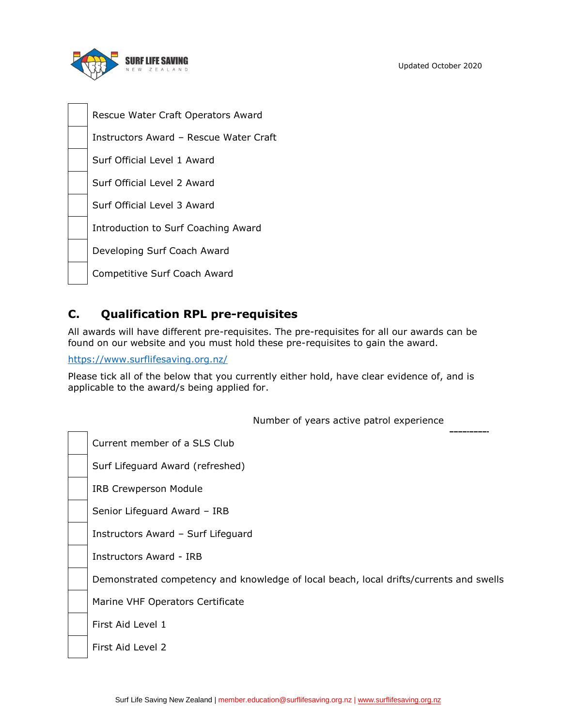

Rescue Water Craft Operators Award Instructors Award – Rescue Water Craft Surf Official Level 1 Award Surf Official Level 2 Award Surf Official Level 3 Award Introduction to Surf Coaching Award Developing Surf Coach Award Competitive Surf Coach Award

## **C. Qualification RPL pre-requisites**

All awards will have different pre-requisites. The pre-requisites for all our awards can be found on our website and you must hold these pre-requisites to gain the award.

<https://www.surflifesaving.org.nz/>

Please tick all of the below that you currently either hold, have clear evidence of, and is applicable to the award/s being applied for.

| Number of years active patrol experience                                               |
|----------------------------------------------------------------------------------------|
| Current member of a SLS Club                                                           |
| Surf Lifeguard Award (refreshed)                                                       |
| <b>IRB Crewperson Module</b>                                                           |
| Senior Lifeguard Award - IRB                                                           |
| Instructors Award - Surf Lifeguard                                                     |
| Instructors Award - IRB                                                                |
| Demonstrated competency and knowledge of local beach, local drifts/currents and swells |
| Marine VHF Operators Certificate                                                       |
| First Aid Level 1                                                                      |
| First Aid Level 2                                                                      |
|                                                                                        |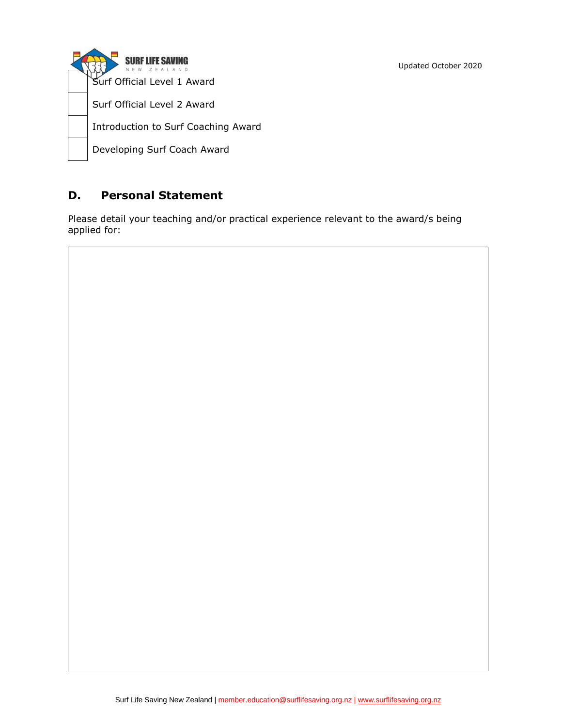**SURF LIFE SAVING** Surf Official Level 1 Award Surf Official Level 2 Award Introduction to Surf Coaching Award Developing Surf Coach Award

## **D. Personal Statement**

Please detail your teaching and/or practical experience relevant to the award/s being applied for: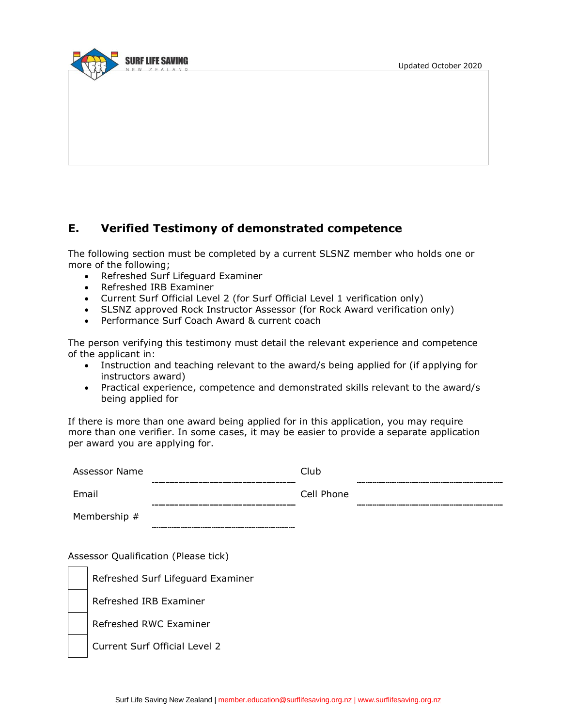

### **E. Verified Testimony of demonstrated competence**

The following section must be completed by a current SLSNZ member who holds one or more of the following;

- Refreshed Surf Lifeguard Examiner
- Refreshed IRB Examiner
- Current Surf Official Level 2 (for Surf Official Level 1 verification only)
- SLSNZ approved Rock Instructor Assessor (for Rock Award verification only)
- Performance Surf Coach Award & current coach

The person verifying this testimony must detail the relevant experience and competence of the applicant in:

- Instruction and teaching relevant to the award/s being applied for (if applying for instructors award)
- Practical experience, competence and demonstrated skills relevant to the award/s being applied for

If there is more than one award being applied for in this application, you may require more than one verifier. In some cases, it may be easier to provide a separate application per award you are applying for.

| Assessor Name  | Club       |                      |
|----------------|------------|----------------------|
|                |            |                      |
| Email          | Cell Phone |                      |
|                |            | -------------------- |
| Membership $#$ |            |                      |

Assessor Qualification (Please tick)

| Refreshed Surf Lifeguard Examiner |
|-----------------------------------|
| Refreshed IRB Examiner            |
| Refreshed RWC Examiner            |
| Current Surf Official Level 2     |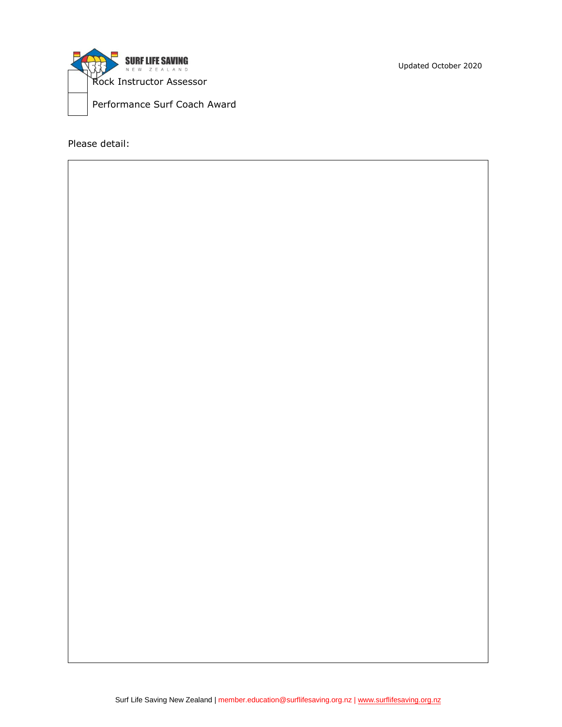

Please detail:

Updated October 2020